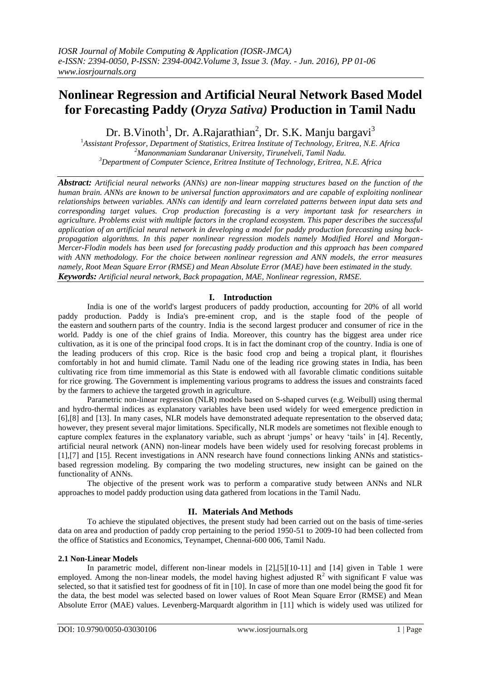# **Nonlinear Regression and Artificial Neural Network Based Model for Forecasting Paddy (***Oryza Sativa)* **Production in Tamil Nadu**

Dr. B.Vinoth<sup>1</sup>, Dr. A.Rajarathian<sup>2</sup>, Dr. S.K. Manju bargavi<sup>3</sup>

<sup>1</sup>*Assistant Professor, Department of Statistics, Eritrea Institute of Technology, Eritrea, N.E. Africa <sup>2</sup>Manonmaniam Sundaranar University, Tirunelveli, Tamil Nadu. <sup>3</sup>Department of Computer Science, Eritrea Institute of Technology, Eritrea, N.E. Africa*

*Abstract: Artificial neural networks (ANNs) are non-linear mapping structures based on the function of the human brain. ANNs are known to be universal function approximators and are capable of exploiting nonlinear relationships between variables. ANNs can identify and learn correlated patterns between input data sets and corresponding target values. Crop production forecasting is a very important task for researchers in agriculture. Problems exist with multiple factors in the cropland ecosystem. This paper describes the successful application of an artificial neural network in developing a model for paddy production forecasting using backpropagation algorithms. In this paper nonlinear regression models namely Modified Horel and Morgan-Mercer-Flodin models has been used for forecasting paddy production and this approach has been compared with ANN methodology. For the choice between nonlinear regression and ANN models, the error measures namely, Root Mean Square Error (RMSE) and Mean Absolute Error (MAE) have been estimated in the study. Keywords: Artificial neural network, Back propagation, MAE, Nonlinear regression, RMSE.*

## **I. Introduction**

India is one of the world's largest producers of paddy production, accounting for 20% of all world paddy production. Paddy is India's pre-eminent crop, and is the staple food of the people of the [eastern](http://en.wikipedia.org/wiki/Eastern_India) and [southern](http://en.wikipedia.org/wiki/Southern_India) parts of the country. India is the second largest producer and consumer of rice in the world. Paddy is one of the chief grains of India. Moreover, this country has the biggest area under rice cultivation, as it is one of the principal food crops. It is in fact the dominant crop of the country. India is one of the leading producers of this crop. Rice is the basic food crop and being a tropical plant, it flourishes comfortably in hot and humid climate. Tamil Nadu one of the leading rice growing states in India, has been cultivating rice from time immemorial as this State is endowed with all favorable climatic conditions suitable for rice growing. The Government is implementing various programs to address the issues and constraints faced by the farmers to achieve the targeted growth in agriculture.

Parametric non-linear regression (NLR) models based on S-shaped curves (e.g. Weibull) using thermal and hydro-thermal indices as explanatory variables have been used widely for weed emergence prediction in [6],[8] and [13]. In many cases, NLR models have demonstrated adequate representation to the observed data; however, they present several major limitations. Specifically, NLR models are sometimes not flexible enough to capture complex features in the explanatory variable, such as abrupt 'jumps' or heavy 'tails' in [4]. Recently, artificial neural network (ANN) non-linear models have been widely used for resolving forecast problems in [1],[7] and [15]. Recent investigations in ANN research have found connections linking ANNs and statisticsbased regression modeling. By comparing the two modeling structures, new insight can be gained on the functionality of ANNs.

The objective of the present work was to perform a comparative study between ANNs and NLR approaches to model paddy production using data gathered from locations in the Tamil Nadu.

## **II. Materials And Methods**

To achieve the stipulated objectives, the present study had been carried out on the basis of time-series data on area and production of paddy crop pertaining to the period 1950-51 to 2009-10 had been collected from the office of Statistics and Economics, Teynampet, Chennai-600 006, Tamil Nadu.

## **2.1 Non-Linear Models**

In parametric model, different non-linear models in [2],[5][10-11] and [14] given in Table 1 were employed. Among the non-linear models, the model having highest adjusted  $R^2$  with significant F value was selected, so that it satisfied test for goodness of fit in [10]. In case of more than one model being the good fit for the data, the best model was selected based on lower values of Root Mean Square Error (RMSE) and Mean Absolute Error (MAE) values. Levenberg-Marquardt algorithm in [11] which is widely used was utilized for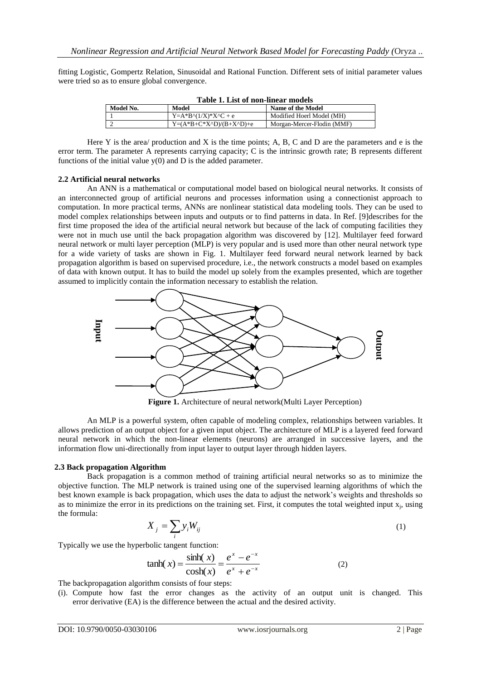fitting Logistic, Gompertz Relation, Sinusoidal and Rational Function. Different sets of initial parameter values were tried so as to ensure global convergence.

| Table 1. List of non-linear models |                                           |                            |  |  |  |  |
|------------------------------------|-------------------------------------------|----------------------------|--|--|--|--|
| Model No.                          | Model                                     | Name of the Model          |  |  |  |  |
|                                    | $Y = A*B^{\dagger}(1/X)*X^{\dagger}C + e$ | Modified Hoerl Model (MH)  |  |  |  |  |
|                                    | $Y=(A*B+C*X^ND)/(B+X^ND)+e$               | Morgan-Mercer-Flodin (MMF) |  |  |  |  |
|                                    |                                           |                            |  |  |  |  |

**Table 1. List of non-linear models**

Here Y is the area/ production and X is the time points; A, B, C and D are the parameters and e is the error term. The parameter A represents carrying capacity; C is the intrinsic growth rate; B represents different functions of the initial value  $y(0)$  and D is the added parameter.

#### **2.2 Artificial neural networks**

An ANN is a mathematical or computational model based on biological neural networks. It consists of an interconnected group of artificial neurons and processes information using a connectionist approach to computation. In more practical terms, ANNs are nonlinear statistical data modeling tools. They can be used to model complex relationships between inputs and outputs or to find patterns in data. In Ref. [9]describes for the first time proposed the idea of the artificial neural network but because of the lack of computing facilities they were not in much use until the back propagation algorithm was discovered by [12]. Multilayer feed forward neural network or multi layer perception (MLP) is very popular and is used more than other neural network type for a wide variety of tasks are shown in Fig. 1. Multilayer feed forward neural network learned by back propagation algorithm is based on supervised procedure, i.e., the network constructs a model based on examples of data with known output. It has to build the model up solely from the examples presented, which are together assumed to implicitly contain the information necessary to establish the relation.



**Figure 1.** Architecture of neural network(Multi Layer Perception)

An MLP is a powerful system, often capable of modeling complex, relationships between variables. It allows prediction of an output object for a given input object. The architecture of MLP is a layered feed forward neural network in which the non-linear elements (neurons) are arranged in successive layers, and the information flow uni-directionally from input layer to output layer through hidden layers.

## **2.3 Back propagation Algorithm**

Back propagation is a common method of training artificial neural networks so as to minimize the objective function. The MLP network is trained using one of the supervised learning algorithms of which the best known example is back propagation, which uses the data to adjust the network's weights and thresholds so as to minimize the error in its predictions on the training set. First, it computes the total weighted input  $x_j$ , using the formula:

$$
X_j = \sum_i y_i W_{ij} \tag{1}
$$

Typically we use the hyperbolic tangent function:

$$
tanh(x) = \frac{\sinh(x)}{\cosh(x)} = \frac{e^x - e^{-x}}{e^x + e^{-x}}
$$
 (2)

The backpropagation algorithm consists of four steps:

(i). Compute how fast the error changes as the activity of an output unit is changed. This error derivative (EA) is the difference between the actual and the desired activity.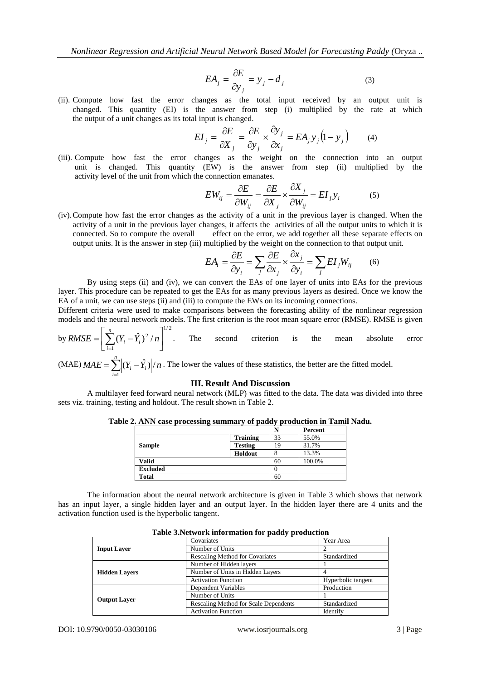$$
EA_j = \frac{\partial E}{\partial y_j} = y_j - d_j \tag{3}
$$

(ii). Compute how fast the error changes as the total input received by an output unit is changed. This quantity (EI) is the answer from step (i) multiplied by the rate at which the output of a unit changes as its total input is changed.

$$
EI_j = \frac{\partial E}{\partial X_j} = \frac{\partial E}{\partial y_j} \times \frac{\partial y_j}{\partial x_j} = EA_j y_j (1 - y_j)
$$
(4)

(iii). Compute how fast the error changes as the weight on the connection into an output unit is changed. This quantity (EW) is the answer from step (ii) multiplied by the activity level of the unit from which the connection emanates.

$$
EW_{ij} = \frac{\partial E}{\partial W_{ij}} = \frac{\partial E}{\partial X_j} \times \frac{\partial X_j}{\partial W_{ij}} = EI_j y_i
$$
 (5)

(iv).Compute how fast the error changes as the activity of a unit in the previous layer is changed. When the activity of a unit in the previous layer changes, it affects the activities of all the output units to which it is connected. So to compute the overall effect on the error, we add together all these separate effects on output units. It is the answer in step (iii) multiplied by the weight on the connection to that output unit.

$$
EA_i = \frac{\partial E}{\partial y_i} = \sum_j \frac{\partial E}{\partial x_j} \times \frac{\partial x_j}{\partial y_i} = \sum_j EI_j W_{ij}
$$
 (6)

By using steps (ii) and (iv), we can convert the EAs of one layer of units into EAs for the previous layer. This procedure can be repeated to get the EAs for as many previous layers as desired. Once we know the EA of a unit, we can use steps (ii) and (iii) to compute the EWs on its incoming connections.

Different criteria were used to make comparisons between the forecasting ability of the nonlinear regression models and the neural network models. The first criterion is the root mean square error (RMSE). RMSE is given

by 
$$
RMSE = \left[\sum_{i=1}^{n} (Y_i - \hat{Y}_i)^2 / n\right]^{1/2}.
$$
 The second criterion is the mean absolute error

(MAE) 
$$
MAE = \sum_{i=1}^{n} |(Y_i - \hat{Y}_i)|/n
$$
. The lower the values of these statistics, the better are the fitted model.

#### **III. Result And Discussion**

A multilayer feed forward neural network (MLP) was fitted to the data. The data was divided into three sets viz. training, testing and holdout. The result shown in Table 2.

| Table 2. ANN case processing summary of paddy production in Tamil Nadu. |                |  |
|-------------------------------------------------------------------------|----------------|--|
|                                                                         | <b>Percent</b> |  |

|                 |                 | I٦ | т егсенс |
|-----------------|-----------------|----|----------|
|                 | <b>Training</b> | 33 | 55.0%    |
| <b>Sample</b>   | <b>Testing</b>  | 19 | 31.7%    |
|                 | Holdout         | 8  | 13.3%    |
| <b>Valid</b>    |                 | 60 | 100.0%   |
| <b>Excluded</b> |                 |    |          |
| <b>Total</b>    |                 | 60 |          |

The information about the neural network architecture is given in Table 3 which shows that network has an input layer, a single hidden layer and an output layer. In the hidden layer there are 4 units and the activation function used is the hyperbolic tangent.

| $\sim$ 0.000 $\sim$ 0.000 $\sim$ 0.000 $\sim$ 0.000 $\sim$ 0.000 $\sim$ 0.000 $\sim$ 0.000 $\sim$ 0.000 $\sim$ 0.000 $\sim$ 0.000 $\sim$ 0.000 $\sim$ 0.000 $\sim$ 0.000 $\sim$ 0.000 $\sim$ 0.000 $\sim$ 0.000 $\sim$ 0.000 $\sim$ 0.000 $\sim$ 0.000 $\sim$ 0.000 |                                        |                    |  |  |  |
|---------------------------------------------------------------------------------------------------------------------------------------------------------------------------------------------------------------------------------------------------------------------|----------------------------------------|--------------------|--|--|--|
|                                                                                                                                                                                                                                                                     | Covariates                             | Year Area          |  |  |  |
| <b>Input Layer</b>                                                                                                                                                                                                                                                  | Number of Units                        |                    |  |  |  |
|                                                                                                                                                                                                                                                                     | <b>Rescaling Method for Covariates</b> | Standardized       |  |  |  |
|                                                                                                                                                                                                                                                                     | Number of Hidden layers                |                    |  |  |  |
| <b>Hidden Lavers</b>                                                                                                                                                                                                                                                | Number of Units in Hidden Layers       |                    |  |  |  |
|                                                                                                                                                                                                                                                                     | <b>Activation Function</b>             | Hyperbolic tangent |  |  |  |
|                                                                                                                                                                                                                                                                     | Dependent Variables                    | Production         |  |  |  |
|                                                                                                                                                                                                                                                                     | Number of Units                        |                    |  |  |  |
| <b>Output Layer</b>                                                                                                                                                                                                                                                 | Rescaling Method for Scale Dependents  | Standardized       |  |  |  |
|                                                                                                                                                                                                                                                                     | <b>Activation Function</b>             | Identify           |  |  |  |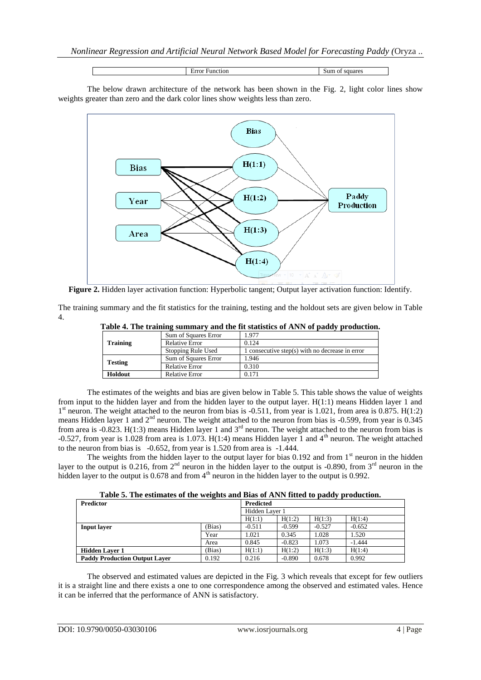Error Function Sum of squares

The below drawn architecture of the network has been shown in the Fig. 2, light color lines show weights greater than zero and the dark color lines show weights less than zero.



**Figure 2.** Hidden layer activation function: Hyperbolic tangent; Output layer activation function: Identify.

The training summary and the fit statistics for the training, testing and the holdout sets are given below in Table 4.

|                 | Sum of Squares Error  | 1.977                                           |
|-----------------|-----------------------|-------------------------------------------------|
| <b>Training</b> | <b>Relative Error</b> | 0.124                                           |
|                 | Stopping Rule Used    | 1 consecutive step(s) with no decrease in error |
|                 | Sum of Squares Error  | 1.946                                           |
| <b>Testing</b>  | <b>Relative Error</b> | 0.310                                           |
| Holdout         | <b>Relative Error</b> | 0.171                                           |
|                 |                       |                                                 |

The estimates of the weights and bias are given below in Table 5. This table shows the value of weights from input to the hidden layer and from the hidden layer to the output layer. H(1:1) means Hidden layer 1 and 1<sup>st</sup> neuron. The weight attached to the neuron from bias is -0.511, from year is 1.021, from area is 0.875. H(1:2) means Hidden layer 1 and 2<sup>nd</sup> neuron. The weight attached to the neuron from bias is -0.599, from year is 0.345 from area is -0.823. H(1:3) means Hidden layer 1 and  $3<sup>rd</sup>$  neuron. The weight attached to the neuron from bias is -0.527, from year is 1.028 from area is 1.073. H(1:4) means Hidden layer 1 and 4<sup>th</sup> neuron. The weight attached to the neuron from bias is -0.652, from year is 1.520 from area is -1.444.

The weights from the hidden layer to the output layer for bias  $0.192$  and from 1<sup>st</sup> neuron in the hidden layer to the output is  $0.216$ , from  $2<sup>nd</sup>$  neuron in the hidden layer to the output is  $-0.890$ , from  $3<sup>rd</sup>$  neuron in the hidden layer to the output is  $0.678$  and from  $4<sup>th</sup>$  neuron in the hidden layer to the output is  $0.992$ .

**Table 5. The estimates of the weights and Bias of ANN fitted to paddy production.**

| <b>Predictor</b>                     |        | <b>Predicted</b> |          |          |          |
|--------------------------------------|--------|------------------|----------|----------|----------|
|                                      |        | Hidden Layer 1   |          |          |          |
|                                      |        | H(1:1)           | H(1:2)   | H(1:3)   | H(1:4)   |
| <b>Input layer</b>                   | (Bias) | $-0.511$         | $-0.599$ | $-0.527$ | $-0.652$ |
|                                      | Year   | 1.021            | 0.345    | 1.028    | 1.520    |
|                                      | Area   | 0.845            | $-0.823$ | 1.073    | $-1.444$ |
| <b>Hidden Laver 1</b>                | (Bias) | H(1:1)           | H(1:2)   | H(1:3)   | H(1:4)   |
| <b>Paddy Production Output Laver</b> | 0.192  | 0.216            | $-0.890$ | 0.678    | 0.992    |

The observed and estimated values are depicted in the Fig. 3 which reveals that except for few outliers it is a straight line and there exists a one to one correspondence among the observed and estimated vales. Hence it can be inferred that the performance of ANN is satisfactory.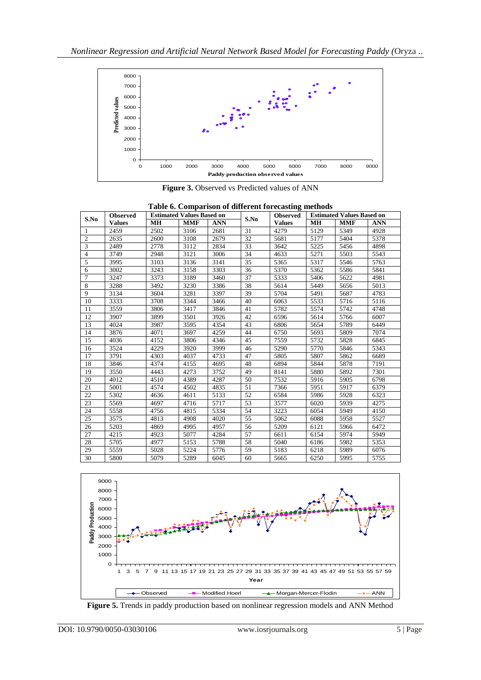

**Figure 3.** Observed vs Predicted values of ANN

| S.No                    | <b>Observed</b> |           | <b>Estimated Values Based on</b> |            |      | <b>Observed</b> |           | <b>Estimated Values Based on</b> |            |
|-------------------------|-----------------|-----------|----------------------------------|------------|------|-----------------|-----------|----------------------------------|------------|
|                         | <b>Values</b>   | <b>MH</b> | <b>MMF</b>                       | <b>ANN</b> | S.No | <b>Values</b>   | <b>MH</b> | <b>MMF</b>                       | <b>ANN</b> |
| $\mathbf{1}$            | 2459            | 2502      | 3106                             | 2681       | 31   | 4279            | 5129      | 5349                             | 4928       |
| $\mathfrak{2}$          | 2635            | 2600      | 3108                             | 2679       | 32   | 5681            | 5177      | 5404                             | 5378       |
| $\overline{\mathbf{3}}$ | 2489            | 2778      | 3112                             | 2834       | 33   | 3642            | 5225      | 5456                             | 4898       |
| $\overline{4}$          | 3749            | 2948      | 3121                             | 3006       | 34   | 4633            | 5271      | 5503                             | 5543       |
| 5                       | 3995            | 3103      | 3136                             | 3141       | 35   | 5365            | 5317      | 5546                             | 5763       |
| 6                       | 3002            | 3243      | 3158                             | 3303       | 36   | 5370            | 5362      | 5586                             | 5841       |
| $\overline{7}$          | 3247            | 3373      | 3189                             | 3460       | 37   | 5333            | 5406      | 5622                             | 4981       |
| 8                       | 3288            | 3492      | 3230                             | 3386       | 38   | 5614            | 5449      | 5656                             | 5013       |
| 9                       | 3134            | 3604      | 3281                             | 3397       | 39   | 5704            | 5491      | 5687                             | 4783       |
| 10                      | 3333            | 3708      | 3344                             | 3466       | 40   | 6063            | 5533      | 5716                             | 5116       |
| 11                      | 3559            | 3806      | 3417                             | 3846       | 41   | 5782            | 5574      | 5742                             | 4748       |
| 12                      | 3907            | 3899      | 3501                             | 3926       | 42   | 6596            | 5614      | 5766                             | 6007       |
| 13                      | 4024            | 3987      | 3595                             | 4354       | 43   | 6806            | 5654      | 5789                             | 6449       |
| 14                      | 3876            | 4071      | 3697                             | 4259       | 44   | 6750            | 5693      | 5809                             | 7074       |
| 15                      | 4036            | 4152      | 3806                             | 4346       | 45   | 7559            | 5732      | 5828                             | 6845       |
| 16                      | 3524            | 4229      | 3920                             | 3999       | 46   | 5290            | 5770      | 5846                             | 5343       |
| 17                      | 3791            | 4303      | 4037                             | 4733       | 47   | 5805            | 5807      | 5862                             | 6689       |
| 18                      | 3846            | 4374      | 4155                             | 4695       | 48   | 6894            | 5844      | 5878                             | 7191       |
| 19                      | 3550            | 4443      | 4273                             | 3752       | 49   | 8141            | 5880      | 5892                             | 7301       |
| 20                      | 4012            | 4510      | 4389                             | 4287       | 50   | 7532            | 5916      | 5905                             | 6798       |
| 21                      | 5001            | 4574      | 4502                             | 4835       | 51   | 7366            | 5951      | 5917                             | 6379       |
| 22                      | 5302            | 4636      | 4611                             | 5133       | 52   | 6584            | 5986      | 5928                             | 6323       |
| 23                      | 5569            | 4697      | 4716                             | 5717       | 53   | 3577            | 6020      | 5939                             | 4275       |
| 24                      | 5558            | 4756      | 4815                             | 5334       | 54   | 3223            | 6054      | 5949                             | 4150       |
| 25                      | 3575            | 4813      | 4908                             | 4020       | 55   | 5062            | 6088      | 5958                             | 5527       |
| 26                      | 5203            | 4869      | 4995                             | 4957       | 56   | 5209            | 6121      | 5966                             | 6472       |
| 27                      | 4215            | 4923      | 5077                             | 4284       | 57   | 6611            | 6154      | 5974                             | 5949       |
| 28                      | 5705            | 4977      | 5153                             | 5788       | 58   | 5040            | 6186      | 5982                             | 5353       |
| 29                      | 5559            | 5028      | 5224                             | 5776       | 59   | 5183            | 6218      | 5989                             | 6076       |
| 30                      | 5800            | 5079      | 5289                             | 6045       | 60   | 5665            | 6250      | 5995                             | 5755       |



**Figure 5.** Trends in paddy production based on nonlinear regression models and ANN Method